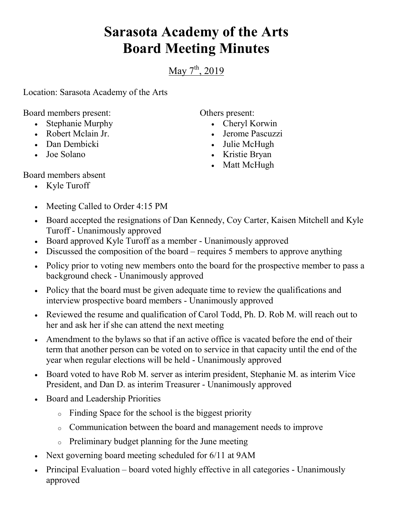## **Sarasota Academy of the Arts Board Meeting Minutes**

May  $7^{\text{th}}$ , 2019

Location: Sarasota Academy of the Arts

Board members present:

- Stephanie Murphy
- Robert Mclain Jr.
- Dan Dembicki
- Joe Solano

Others present:

- Cheryl Korwin
- Jerome Pascuzzi
- Julie McHugh
- Kristie Bryan
- Matt McHugh

Board members absent

- Kyle Turoff
- Meeting Called to Order 4:15 PM
- Board accepted the resignations of Dan Kennedy, Coy Carter, Kaisen Mitchell and Kyle Turoff - Unanimously approved
- Board approved Kyle Turoff as a member Unanimously approved
- Discussed the composition of the board requires 5 members to approve anything
- Policy prior to voting new members onto the board for the prospective member to pass a background check - Unanimously approved
- Policy that the board must be given adequate time to review the qualifications and interview prospective board members - Unanimously approved
- Reviewed the resume and qualification of Carol Todd, Ph. D. Rob M. will reach out to her and ask her if she can attend the next meeting
- Amendment to the bylaws so that if an active office is vacated before the end of their term that another person can be voted on to service in that capacity until the end of the year when regular elections will be held - Unanimously approved
- Board voted to have Rob M. server as interim president, Stephanie M. as interim Vice President, and Dan D. as interim Treasurer - Unanimously approved
- Board and Leadership Priorities
	- o Finding Space for the school is the biggest priority
	- o Communication between the board and management needs to improve
	- o Preliminary budget planning for the June meeting
- Next governing board meeting scheduled for 6/11 at 9AM
- Principal Evaluation board voted highly effective in all categories Unanimously approved